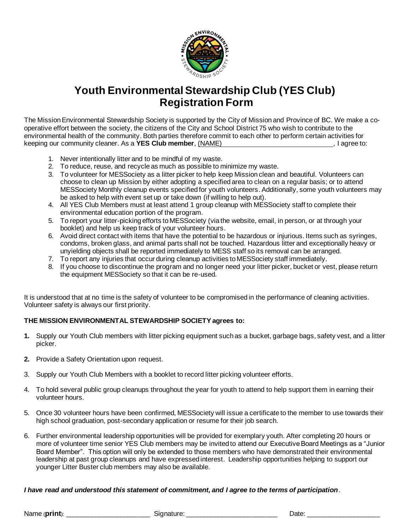

# **Youth Environmental Stewardship Club (YES Club) Registration Form**

The Mission Environmental Stewardship Society is supported by the City of Mission and Province of BC. We make a cooperative effort between the society, the citizens of the City and School District 75 who wish to contribute to the environmental health of the community. Both parties therefore commit to each other to perform certain activities for keeping our community cleaner. As a **YES Club member**, (NAME) *nember*,  $\theta$  , i agree to:

- 1. Never intentionally litter and to be mindful of my waste.
- 2. To reduce, reuse, and recycle as much as possible to minimize my waste.
- 3. To volunteer for MESSociety as a litter picker to help keep Mission clean and beautiful. Volunteers can choose to clean up Mission by either adopting a specified area to clean on a regular basis; or to attend MESSociety Monthly cleanup events specified for youth volunteers. Additionally, some youth volunteers may be asked to help with event set up or take down (if willing to help out).
- 4. All YES Club Members must at least attend 1 group cleanup with MESSociety staff to complete their environmental education portion of the program.
- 5. To report your litter-picking efforts to MESSociety (via the website, email, in person, or at through your booklet) and help us keep track of your volunteer hours.
- 6. Avoid direct contact with items that have the potential to be hazardous or injurious. Items such as syringes, condoms, broken glass, and animal parts shall not be touched. Hazardous litter and exceptionally heavy or unyielding objects shall be reported immediately to MESS staff so its removal can be arranged.
- 7. To report any injuries that occur during cleanup activities to MESSociety staff immediately.
- 8. If you choose to discontinue the program and no longer need your litter picker, bucket or vest, please return the equipment MESSociety so that it can be re-used.

It is understood that at no time is the safety of volunteer to be compromised in the performance of cleaning activities. Volunteer safety is always our first priority.

#### **THE MISSION ENVIRONMENTAL STEWARDSHIP SOCIETYagrees to:**

- **1.** Supply our Youth Club members with litter picking equipment such as a bucket, garbage bags, safety vest, and a litter picker.
- **2.** Provide a Safety Orientation upon request.
- 3. Supply our Youth Club Members with a booklet to record litter picking volunteer efforts.
- 4. To hold several public group cleanups throughout the year for youth to attend to help support them in earning their volunteer hours.
- 5. Once 30 volunteer hours have been confirmed, MESSociety will issue a certificate to the member to use towards their high school graduation, post-secondary application or resume for their job search.
- 6. Further environmental leadership opportunities will be provided for exemplary youth. After completing 20 hours or more of volunteer time senior YES Club members may be invited to attend our Executive Board Meetings as a "Junior Board Member". This option will only be extended to those members who have demonstrated their environmental leadership at past group cleanups and have expressed interest. Leadership opportunities helping to support our younger Litter Buster club members may also be available.

#### *I have read and understood this statement of commitment, and I agree to the terms of participation*.

Name (print): etc. and a state of state state state state state of state state of  $\Box$  Date:  $\Box$